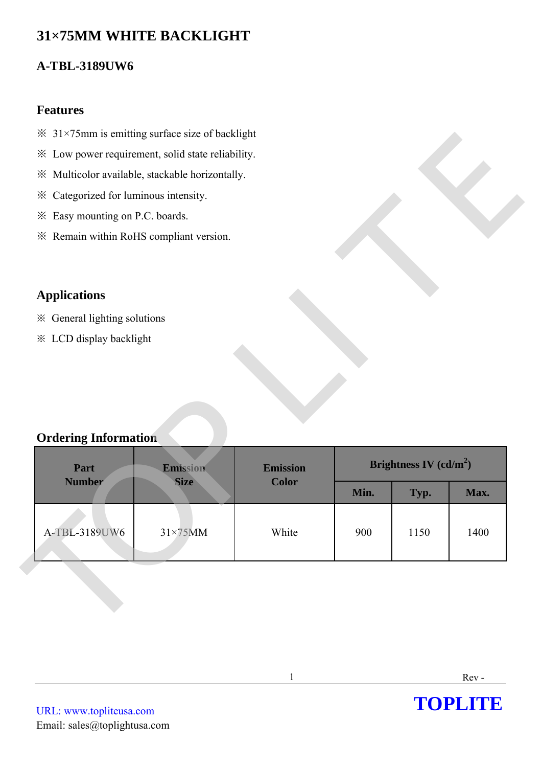# **31×75MM WHITE BACKLIGHT**

## **A-TBL-3189UW6**

#### **Features**

- $\frac{31}{75}$ mm is emitting surface size of backlight
- ※ Low power requirement, solid state reliability.
- ※ Multicolor available, stackable horizontally.
- ※ Categorized for luminous intensity.
- ※ Easy mounting on P.C. boards.
- ※ Remain within RoHS compliant version.

## **Applications**

- ※ General lighting solutions
- ※ LCD display backlight

### **Ordering Information**

| * Low power requirement, solid state reliability.   |                 |                 |      |                          |      |
|-----------------------------------------------------|-----------------|-----------------|------|--------------------------|------|
| ※ Multicolor available, stackable horizontally.     |                 |                 |      |                          |      |
| Categorized for luminous intensity.<br>$\mathbb{X}$ |                 |                 |      |                          |      |
| * Easy mounting on P.C. boards.                     |                 |                 |      |                          |      |
| * Remain within RoHS compliant version.             |                 |                 |      |                          |      |
|                                                     |                 |                 |      |                          |      |
| <b>Applications</b>                                 |                 |                 |      |                          |      |
| ※ General lighting solutions                        |                 |                 |      |                          |      |
| <b>※ LCD display backlight</b>                      |                 |                 |      |                          |      |
|                                                     |                 |                 |      |                          |      |
|                                                     |                 |                 |      |                          |      |
|                                                     |                 |                 |      |                          |      |
|                                                     |                 |                 |      |                          |      |
|                                                     |                 |                 |      |                          |      |
| <b>Ordering Information</b>                         |                 |                 |      |                          |      |
| Part                                                | Emission        | <b>Emission</b> |      | Brightness IV $(cd/m^2)$ |      |
| <b>Number</b>                                       | <b>Size</b>     | <b>Color</b>    | Min. | Typ.                     | Max. |
|                                                     |                 |                 |      |                          |      |
| A-TBL-3189UW6                                       | $31\times75$ MM | White           | 900  | 1150                     | 1400 |

**TOPLITE**



1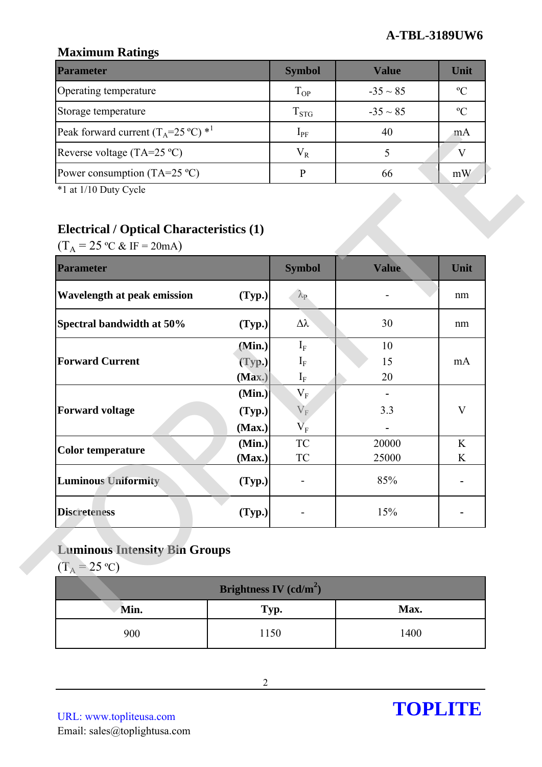## **Maximum Ratings**

| <b>Parameter</b>                                        | <b>Symbol</b> | <b>Value</b>  | Unit        |
|---------------------------------------------------------|---------------|---------------|-------------|
| Operating temperature                                   | $T_{OP}$      | $-35 \sim 85$ | $\rm ^{o}C$ |
| Storage temperature                                     | $T_{STG}$     | $-35 \sim 85$ | $\rm ^{o}C$ |
| Peak forward current $(T_A=25 \degree C)$ <sup>*1</sup> | $1_{\rm PF}$  | 40            | mA          |
| Reverse voltage (TA=25 $^{\circ}$ C)                    | $V_R$         |               |             |
| Power consumption (TA=25 $^{\circ}$ C)                  |               | 66            | mW          |

# **Electrical / Optical Characteristics (1)**

| $(T_A = 25 \text{ °C} \& \text{ IF} = 20 \text{ mA})$<br><b>Parameter</b> |                  | <b>Symbol</b>                                 | Value                 | Unit        |
|---------------------------------------------------------------------------|------------------|-----------------------------------------------|-----------------------|-------------|
| Wavelength at peak emission                                               | (Typ.)           | $\lambda_{\rm P}$                             |                       | nm          |
| Spectral bandwidth at 50%                                                 | (Typ.)           | Δλ                                            | 30                    | nm          |
|                                                                           | (Min.)           | $I_{\rm F}$                                   | 10                    |             |
| <b>Forward Current</b>                                                    | (Typ.)           | $I_F$                                         | 15                    | mA          |
|                                                                           | (Max.)           | $\mathbf{I}_{\rm F}$                          | 20                    |             |
|                                                                           | (Min.)           | $V_F$                                         | $\blacksquare$<br>3.3 | $\mathbf V$ |
| <b>Forward voltage</b>                                                    | (Typ.)<br>(Max.) | $V_{F}$<br>$\overline{\mathsf{V}}_\mathrm{F}$ |                       |             |
|                                                                           | (Min.)           | <b>TC</b>                                     | 20000                 | K           |
| <b>Color temperature</b>                                                  | (Max.)           | <b>TC</b>                                     | 25000                 | K           |
| <b>Luminous Uniformity</b>                                                | (Typ.)           |                                               | 85%                   |             |
| <b>Discreteness</b>                                                       | (Typ.)           |                                               | 15%                   |             |

# **Luminous Intensity Bin Groups**

| Brightness IV $(cd/m^2)$ |      |      |  |  |
|--------------------------|------|------|--|--|
| Min.                     | Typ. | Max. |  |  |
| 900                      | 1150 | 1400 |  |  |

URL: www.topliteusa.com Email: sales@toplightusa.com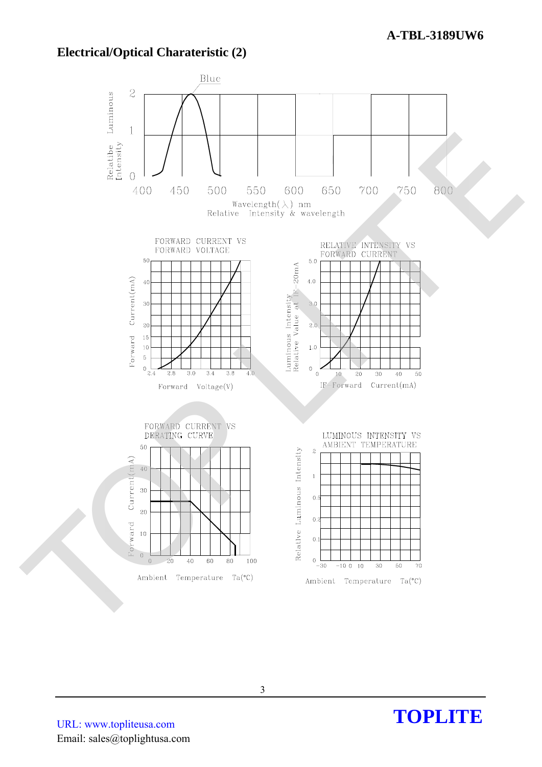### **Electrical/Optical Charateristic (2)**



URL: www.topliteusa.com Email: sales@toplightusa.com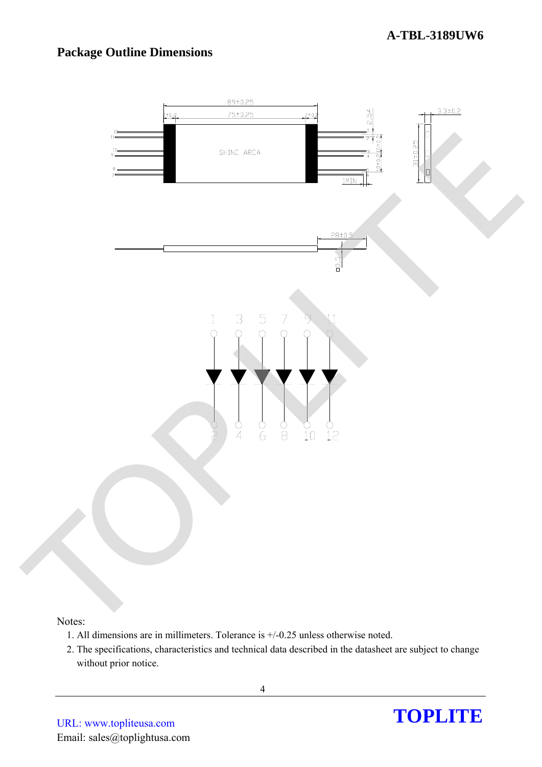# **Package Outline Dimensions**



- 1. All dimensions are in millimeters. Tolerance is +/-0.25 unless otherwise noted.
- 2. The specifications, characteristics and technical data described in the datasheet are subject to change without prior notice.

Notes: